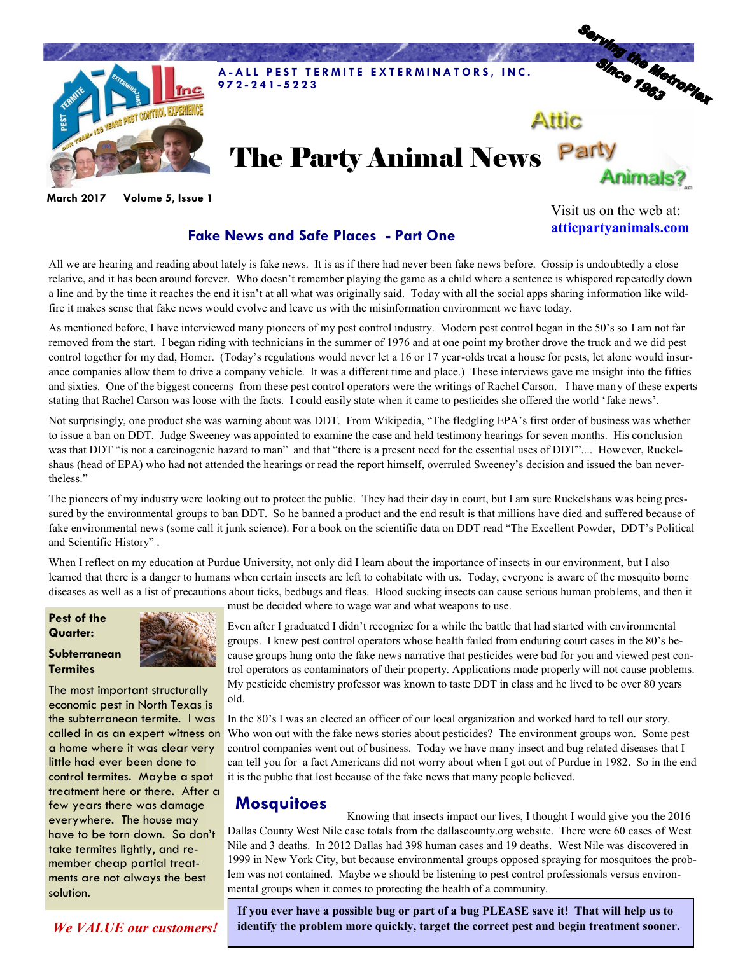

**March 2017 Volume 5, Issue 1**

### **Fake News and Safe Places - Part One**

Visit us on the web at: **atticpartyanimals.com**

All we are hearing and reading about lately is fake news. It is as if there had never been fake news before. Gossip is undoubtedly a close relative, and it has been around forever. Who doesn't remember playing the game as a child where a sentence is whispered repeatedly down a line and by the time it reaches the end it isn't at all what was originally said. Today with all the social apps sharing information like wildfire it makes sense that fake news would evolve and leave us with the misinformation environment we have today.

As mentioned before, I have interviewed many pioneers of my pest control industry. Modern pest control began in the 50's so I am not far removed from the start. I began riding with technicians in the summer of 1976 and at one point my brother drove the truck and we did pest control together for my dad, Homer. (Today's regulations would never let a 16 or 17 year-olds treat a house for pests, let alone would insurance companies allow them to drive a company vehicle. It was a different time and place.) These interviews gave me insight into the fifties and sixties. One of the biggest concerns from these pest control operators were the writings of Rachel Carson. I have many of these experts stating that Rachel Carson was loose with the facts. I could easily state when it came to pesticides she offered the world 'fake news'.

Not surprisingly, one product she was warning about was DDT. From Wikipedia, "The fledgling EPA's first order of business was whether to issue a ban on DDT. Judge Sweeney was appointed to examine the case and held testimony hearings for seven months. His conclusion was that DDT "is not a carcinogenic hazard to man" and that "there is a present need for the essential uses of DDT".... However, Ruckelshaus (head of EPA) who had not attended the hearings or read the report himself, overruled Sweeney's decision and issued the ban nevertheless."

The pioneers of my industry were looking out to protect the public. They had their day in court, but I am sure Ruckelshaus was being pressured by the environmental groups to ban DDT. So he banned a product and the end result is that millions have died and suffered because of fake environmental news (some call it junk science). For a book on the scientific data on DDT read "The Excellent Powder, DDT's Political and Scientific History" .

When I reflect on my education at Purdue University, not only did I learn about the importance of insects in our environment, but I also learned that there is a danger to humans when certain insects are left to cohabitate with us. Today, everyone is aware of the mosquito borne diseases as well as a list of precautions about ticks, bedbugs and fleas. Blood sucking insects can cause serious human problems, and then it

#### **Pest of the Quarter:**

#### **Subterranean Termites**

The most important structurally economic pest in North Texas is the subterranean termite. I was called in as an expert witness on a home where it was clear very little had ever been done to control termites. Maybe a spot treatment here or there. After a few years there was damage everywhere. The house may have to be torn down. So don't take termites lightly, and remember cheap partial treatments are not always the best solution.

must be decided where to wage war and what weapons to use.

Even after I graduated I didn't recognize for a while the battle that had started with environmental groups. I knew pest control operators whose health failed from enduring court cases in the 80's because groups hung onto the fake news narrative that pesticides were bad for you and viewed pest control operators as contaminators of their property. Applications made properly will not cause problems. My pesticide chemistry professor was known to taste DDT in class and he lived to be over 80 years old.

In the 80's I was an elected an officer of our local organization and worked hard to tell our story. Who won out with the fake news stories about pesticides? The environment groups won. Some pest control companies went out of business. Today we have many insect and bug related diseases that I can tell you for a fact Americans did not worry about when I got out of Purdue in 1982. So in the end it is the public that lost because of the fake news that many people believed.

## **Mosquitoes**

Knowing that insects impact our lives, I thought I would give you the 2016 Dallas County West Nile case totals from the dallascounty.org website. There were 60 cases of West Nile and 3 deaths. In 2012 Dallas had 398 human cases and 19 deaths. West Nile was discovered in 1999 in New York City, but because environmental groups opposed spraying for mosquitoes the problem was not contained. Maybe we should be listening to pest control professionals versus environmental groups when it comes to protecting the health of a community.

**If you ever have a possible bug or part of a bug PLEASE save it! That will help us to**  *We VALUE our customers!* **identify the problem more quickly, target the correct pest and begin treatment sooner.**